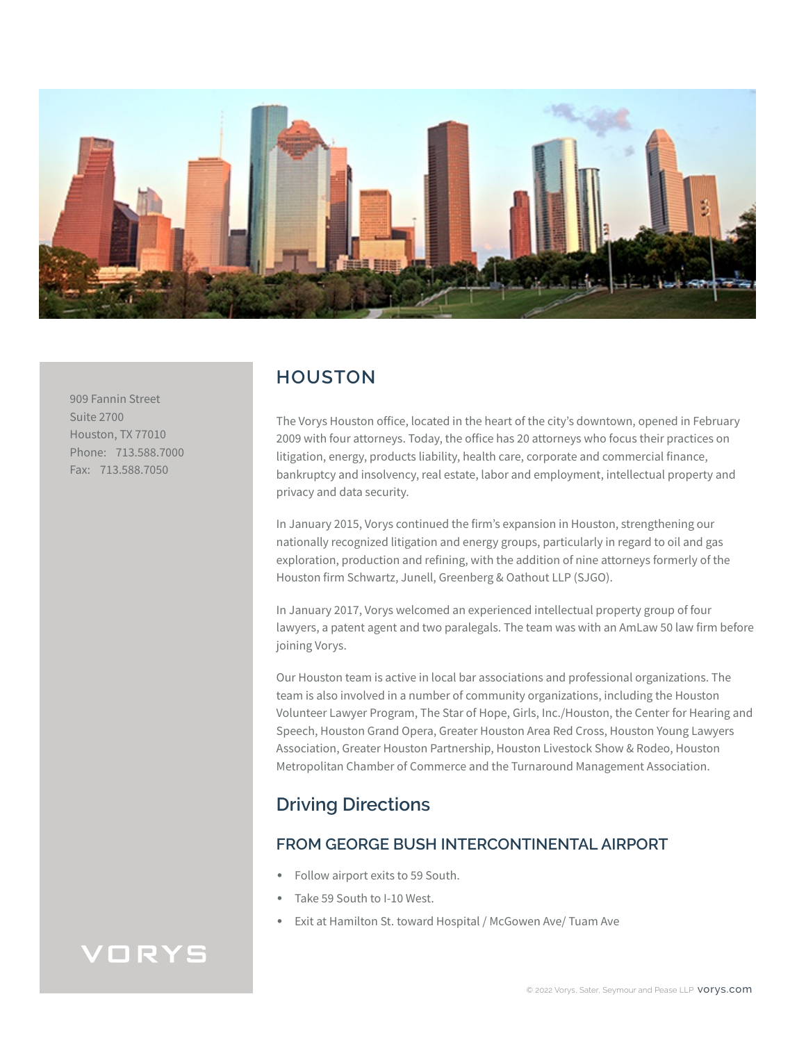

909 Fannin Street Suite 2700 Houston, TX 77010 Phone: 713.588.7000 Fax: 713.588.7050

## **HOUSTON**

The Vorys Houston office, located in the heart of the city's downtown, opened in February 2009 with four attorneys. Today, the office has 20 attorneys who focus their practices on litigation, energy, products liability, health care, corporate and commercial finance, bankruptcy and insolvency, real estate, labor and employment, intellectual property and privacy and data security.

In January 2015, Vorys continued the firm's expansion in Houston, strengthening our nationally recognized litigation and energy groups, particularly in regard to oil and gas exploration, production and refining, with the addition of nine attorneys formerly of the Houston firm Schwartz, Junell, Greenberg & Oathout LLP (SJGO).

In January 2017, Vorys welcomed an experienced intellectual property group of four lawyers, a patent agent and two paralegals. The team was with an AmLaw 50 law firm before joining Vorys.

Our Houston team is active in local bar associations and professional organizations. The team is also involved in a number of community organizations, including the Houston Volunteer Lawyer Program, The Star of Hope, Girls, Inc./Houston, the Center for Hearing and Speech, Houston Grand Opera, Greater Houston Area Red Cross, Houston Young Lawyers Association, Greater Houston Partnership, Houston Livestock Show & Rodeo, Houston Metropolitan Chamber of Commerce and the Turnaround Management Association.

# **Driving Directions**

## **FROM GEORGE BUSH INTERCONTINENTAL AIRPORT**

- Follow airport exits to 59 South.
- Take 59 South to I-10 West.
- Exit at Hamilton St. toward Hospital / McGowen Ave/ Tuam Ave

# VORYS